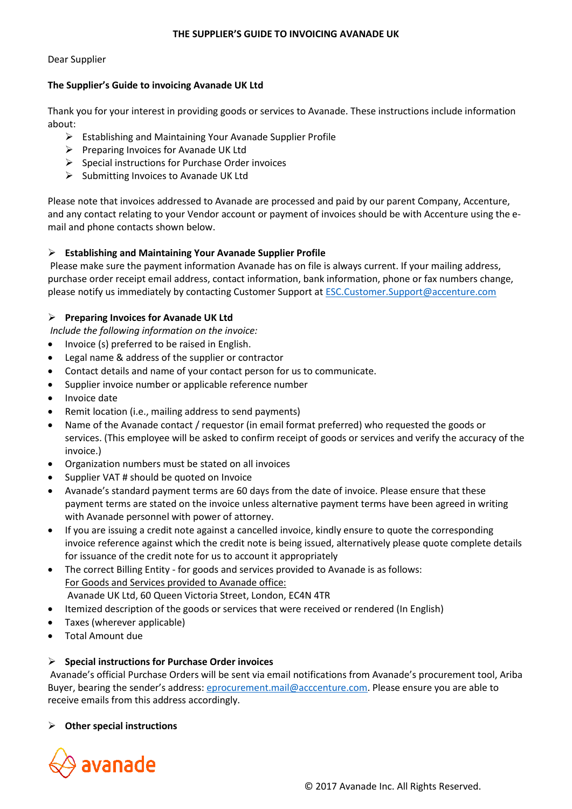#### **THE SUPPLIER'S GUIDE TO INVOICING AVANADE UK**

Dear Supplier

## **The Supplier's Guide to invoicing Avanade UK Ltd**

Thank you for your interest in providing goods or services to Avanade. These instructions include information about:

- $\triangleright$  Establishing and Maintaining Your Avanade Supplier Profile
- $\triangleright$  Preparing Invoices for Avanade UK Ltd
- $\triangleright$  Special instructions for Purchase Order invoices
- $\triangleright$  Submitting Invoices to Avanade UK Ltd

Please note that invoices addressed to Avanade are processed and paid by our parent Company, Accenture, and any contact relating to your Vendor account or payment of invoices should be with Accenture using the email and phone contacts shown below.

# **Establishing and Maintaining Your Avanade Supplier Profile**

Please make sure the payment information Avanade has on file is always current. If your mailing address, purchase order receipt email address, contact information, bank information, phone or fax numbers change, please notify us immediately by contacting Customer Support at [ESC.Customer.Support@accenture.com](mailto:ESC.Customer.Support@accenture.com)

# **Preparing Invoices for Avanade UK Ltd**

*Include the following information on the invoice:* 

- Invoice (s) preferred to be raised in English.
- Legal name & address of the supplier or contractor
- Contact details and name of your contact person for us to communicate.
- Supplier invoice number or applicable reference number
- Invoice date
- Remit location (i.e., mailing address to send payments)
- Name of the Avanade contact / requestor (in email format preferred) who requested the goods or services. (This employee will be asked to confirm receipt of goods or services and verify the accuracy of the invoice.)
- Organization numbers must be stated on all invoices
- Supplier VAT # should be quoted on Invoice
- Avanade's standard payment terms are 60 days from the date of invoice. Please ensure that these payment terms are stated on the invoice unless alternative payment terms have been agreed in writing with Avanade personnel with power of attorney.
- If you are issuing a credit note against a cancelled invoice, kindly ensure to quote the corresponding invoice reference against which the credit note is being issued, alternatively please quote complete details for issuance of the credit note for us to account it appropriately
- The correct Billing Entity for goods and services provided to Avanade is as follows: For Goods and Services provided to Avanade office: Avanade UK Ltd, 60 Queen Victoria Street, London, EC4N 4TR
- Itemized description of the goods or services that were received or rendered (In English)
- Taxes (wherever applicable)
- Total Amount due

## **Special instructions for Purchase Order invoices**

Avanade's official Purchase Orders will be sent via email notifications from Avanade's procurement tool, Ariba Buyer, bearing the sender's address: [eprocurement.mail@acccenture.com.](mailto:eprocurement.mail@acccenture.com) Please ensure you are able to receive emails from this address accordingly.

## **Other special instructions**